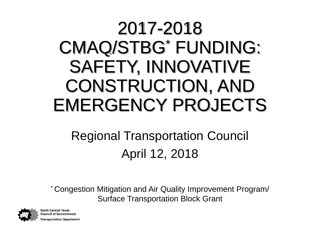### 2017-2018 CMAQ/STBG\* FUNDING: SAFETY, INNOVATIVE CONSTRUCTION, AND EMERGENCY PROJECTS

### Regional Transportation Council April 12, 2018

\* Congestion Mitigation and Air Quality Improvement Program/ Surface Transportation Block Grant



**North Central Texas Council of Governments** ransportation Department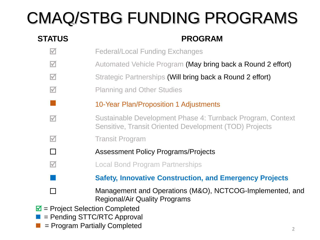### CMAQ/STBG FUNDING PROGRAMS

#### **STATUS PROGRAM**  $\blacksquare$  Federal/Local Funding Exchanges **M** Automated Vehicle Program (May bring back a Round 2 effort)  $\blacksquare$  Strategic Partnerships (Will bring back a Round 2 effort) **M** Planning and Other Studies 10-Year Plan/Proposition 1 Adjustments Sustainable Development Phase 4: Turnback Program, Context Sensitive, Transit Oriented Development (TOD) Projects **M** Transit Program □ Assessment Policy Programs/Projects **M Local Bond Program Partnerships Safety, Innovative Construction, and Emergency Projects** □ Management and Operations (M&O), NCTCOG-Implemented, and Regional/Air Quality Programs  $\blacksquare$  = Project Selection Completed = Pending STTC/RTC Approval

= Program Partially Completed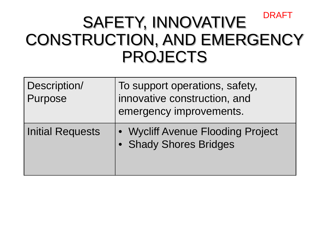#### SAFETY, INNOVATIVE CONSTRUCTION, AND EMERGENCY PROJECTS DRAFT

| Description/<br>Purpose | To support operations, safety,<br>innovative construction, and<br>emergency improvements. |
|-------------------------|-------------------------------------------------------------------------------------------|
| <b>Initial Requests</b> | • Wycliff Avenue Flooding Project<br>• Shady Shores Bridges                               |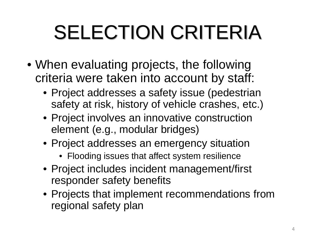# SELECTION CRITERIA

- When evaluating projects, the following criteria were taken into account by staff:
	- Project addresses a safety issue (pedestrian safety at risk, history of vehicle crashes, etc.)
	- Project involves an innovative construction element (e.g., modular bridges)
	- Project addresses an emergency situation
		- Flooding issues that affect system resilience
	- Project includes incident management/first responder safety benefits
	- Projects that implement recommendations from regional safety plan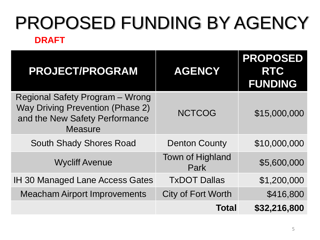### PROPOSED FUNDING BY AGENCY **DRAFT**

| <b>PROJECT/PROGRAM</b>                                                                                                                | <b>AGENCY</b>             | <b>PROPOSED</b><br><b>RTC</b><br><b>FUNDING</b> |
|---------------------------------------------------------------------------------------------------------------------------------------|---------------------------|-------------------------------------------------|
| <b>Regional Safety Program - Wrong</b><br><b>Way Driving Prevention (Phase 2)</b><br>and the New Safety Performance<br><b>Measure</b> | <b>NCTCOG</b>             | \$15,000,000                                    |
| <b>South Shady Shores Road</b>                                                                                                        | <b>Denton County</b>      | \$10,000,000                                    |
| <b>Wycliff Avenue</b>                                                                                                                 | Town of Highland<br>Park  | \$5,600,000                                     |
| <b>IH 30 Managed Lane Access Gates</b>                                                                                                | <b>TxDOT Dallas</b>       | \$1,200,000                                     |
| <b>Meacham Airport Improvements</b>                                                                                                   | <b>City of Fort Worth</b> | \$416,800                                       |
|                                                                                                                                       | <b>Total</b>              | \$32,216,800                                    |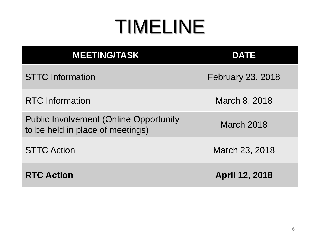## TIMELINE

| <b>MEETING/TASK</b>                                                               | <b>DATE</b>              |  |
|-----------------------------------------------------------------------------------|--------------------------|--|
| <b>STTC</b> Information                                                           | <b>February 23, 2018</b> |  |
| <b>RTC</b> Information                                                            | March 8, 2018            |  |
| <b>Public Involvement (Online Opportunity</b><br>to be held in place of meetings) | March 2018               |  |
| <b>STTC Action</b>                                                                | March 23, 2018           |  |
| <b>RTC Action</b>                                                                 | <b>April 12, 2018</b>    |  |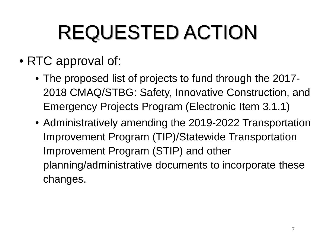# REQUESTED ACTION

- RTC approval of:
	- The proposed list of projects to fund through the 2017-2018 CMAQ/STBG: Safety, Innovative Construction, and Emergency Projects Program (Electronic Item 3.1.1)
	- Administratively amending the 2019-2022 Transportation Improvement Program (TIP)/Statewide Transportation Improvement Program (STIP) and other planning/administrative documents to incorporate these changes.